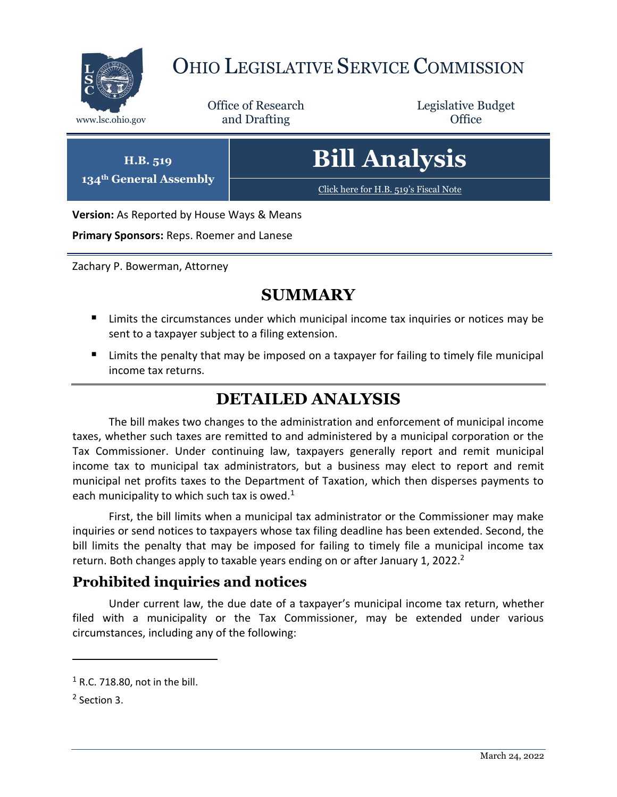

# OHIO LEGISLATIVE SERVICE COMMISSION

Office of Research www.lsc.ohio.gov **and Drafting Office** 

Legislative Budget

**H.B. 519 134th General Assembly** **Bill Analysis**

[Click here for H.B. 519](https://www.legislature.ohio.gov/legislation/legislation-documents?id=GA134-HB-519)'s Fiscal Note

**Version:** As Reported by House Ways & Means

**Primary Sponsors:** Reps. Roemer and Lanese

Zachary P. Bowerman, Attorney

## **SUMMARY**

- **E** Limits the circumstances under which municipal income tax inquiries or notices may be sent to a taxpayer subject to a filing extension.
- Limits the penalty that may be imposed on a taxpayer for failing to timely file municipal income tax returns.

## **DETAILED ANALYSIS**

The bill makes two changes to the administration and enforcement of municipal income taxes, whether such taxes are remitted to and administered by a municipal corporation or the Tax Commissioner. Under continuing law, taxpayers generally report and remit municipal income tax to municipal tax administrators, but a business may elect to report and remit municipal net profits taxes to the Department of Taxation, which then disperses payments to each municipality to which such tax is owed. $1$ 

First, the bill limits when a municipal tax administrator or the Commissioner may make inquiries or send notices to taxpayers whose tax filing deadline has been extended. Second, the bill limits the penalty that may be imposed for failing to timely file a municipal income tax return. Both changes apply to taxable years ending on or after January 1, 2022.<sup>2</sup>

### **Prohibited inquiries and notices**

Under current law, the due date of a taxpayer's municipal income tax return, whether filed with a municipality or the Tax Commissioner, may be extended under various circumstances, including any of the following:

 $\overline{a}$ 

 $1$  R.C. 718.80, not in the bill.

<sup>&</sup>lt;sup>2</sup> Section 3.